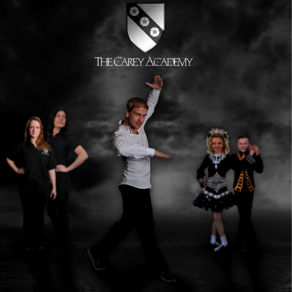

## THE CAREY ACADEMY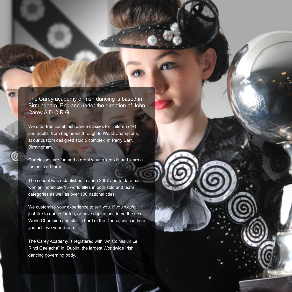The Carey academy of Irish dancing is based in Birmingham, England under the direction of John Carey A.D.C.R.G.

We offer traditional Irish dance classes for children (4+) and adults, from beginners through to World Champions, at our custom designed studio complex in Perry Barr, Birmingham.

Our classes are fun and a great way to keep fit and learn a fantastic art form.

The school was established in June 2007 and to date has won an incredible 15 world titles in both solo and team categories as well as over 100 national titles.

We customise your experience to suit you, if you would<sub>d just</sub> like to just like to dance for fun, or have aspirations to be the next World Champion and star in Lord of the Dance, we can help you achieve your dream.

The Carey Academy is registered with "An Coimisiun Le Rinci Gaelacha" in. Dublin, the largest Worldwide Irish dancing governing body.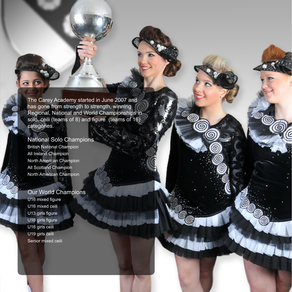The Carey Academy started in June 2007 and has gone from strength to strength, winning Regional, National and World Championships in solo, ceili (teams of 8) and figure (teams of 16) categories.

## National Solo Champions

British National Champion All Ireland Champion North American Champion All Scotland Champion North American Champion

## Our World Champions

U16 mixed figure U16 mixed ceili .U13 girls figure U16 girls figure U16 girls ceili U19 girls ceili Senior mixed ceili